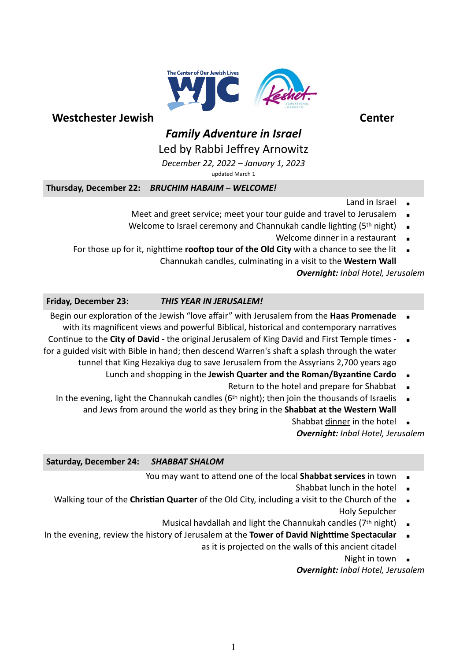

# *Family Adventure in Israel*

## Led by Rabbi Jeffrey Arnowitz

*December 22, 2022 – January 1, 2023*

updated March 1

**Thursday, December 22:** *BRUCHIM HABAIM – WELCOME!*

- Land in Israel
- Meet and greet service; meet your tour guide and travel to Jerusalem
- Welcome to Israel ceremony and Channukah candle lighting (5<sup>th</sup> night)
	- Welcome dinner in a restaurant
- For those up for it, nighttime **rooftop tour of the Old City** with a chance to see the lit Channukah candles, culminating in a visit to the **Western Wall**

#### *Overnight: Inbal Hotel, Jerusalem*

### **Friday, December 23:** *THIS YEAR IN JERUSALEM!*

- Begin our exploration of the Jewish "love affair" with Jerusalem from the **Haas Promenade** with its magnificent views and powerful Biblical, historical and contemporary narratives
- Continue to the **City of David** the original Jerusalem of King David and First Temple times  $\blacksquare$ for a guided visit with Bible in hand; then descend Warren's shaft a splash through the water tunnel that King Hezakiya dug to save Jerusalem from the Assyrians 2,700 years ago
	- Lunch and shopping in the **Jewish Quarter and the Roman/Byzantine Cardo** 
		- Return to the hotel and prepare for Shabbat
	- In the evening, light the Channukah candles ( $6<sup>th</sup>$  night); then join the thousands of Israelis and Jews from around the world as they bring in the **Shabbat at the Western Wall**
		- Shabbat dinner in the hotel

*Overnight: Inbal Hotel, Jerusalem*

#### **Saturday, December 24:** *SHABBAT SHALOM*

- You may want to attend one of the local **Shabbat services** in town
	- Shabbat lunch in the hotel
- Walking tour of the **Christian Quarter** of the Old City, including a visit to the Church of the Holy Sepulcher
	- Musical havdallah and light the Channukah candles ( $7<sup>th</sup>$  night)
- In the evening, review the history of Jerusalem at the **Tower of David Nighttime Spectacular** as it is projected on the walls of this ancient citadel
	- Night in town

*Overnight: Inbal Hotel, Jerusalem*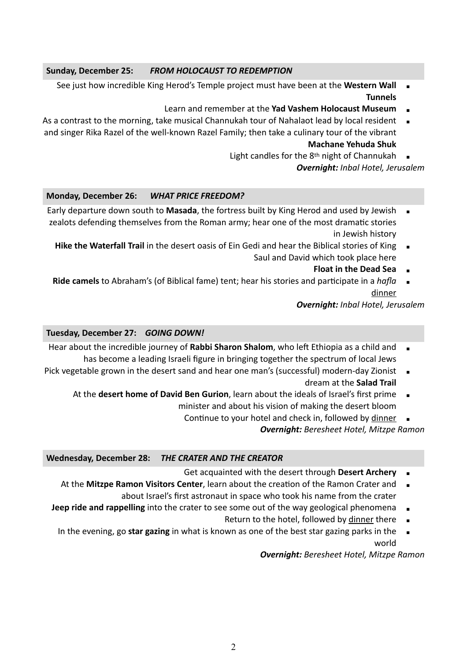#### **Sunday, December 25:** *FROM HOLOCAUST TO REDEMPTION*

- See just how incredible King Herod's Temple project must have been at the **Western Wall Tunnels**
	- Learn and remember at the Yad Vashem Holocaust Museum
- As a contrast to the morning, take musical Channukah tour of Nahalaot lead by local resident **.** and singer Rika Razel of the well-known Razel Family; then take a culinary tour of the vibrant **Machane Yehuda Shuk**
	- Light candles for the  $8<sup>th</sup>$  night of Channukah  $\Box$

*Overnight: Inbal Hotel, Jerusalem*

#### **Monday, December 26:** *WHAT PRICE FREEDOM?*

- Early departure down south to Masada, the fortress built by King Herod and used by Jewish zealots defending themselves from the Roman army; hear one of the most dramatic stories in Jewish history
	- **Hike the Waterfall Trail** in the desert oasis of Ein Gedi and hear the Biblical stories of King  $\blacksquare$ Saul and David which took place here
		- **Float in the Dead Sea**
	- **Ride camels** to Abraham's (of Biblical fame) tent; hear his stories and participate in a *hafla* dinner

*Overnight: Inbal Hotel, Jerusalem*

#### **Tuesday, December 27:** *GOING DOWN!*

- Hear about the incredible journey of Rabbi Sharon Shalom, who left Ethiopia as a child and has become a leading Israeli figure in bringing together the spectrum of local Jews
- Pick vegetable grown in the desert sand and hear one man's (successful) modern-day Zionist dream at the **Salad Trail**
	- At the **desert home of David Ben Gurion**, learn about the ideals of Israel's first prime minister and about his vision of making the desert bloom
		- Continue to your hotel and check in, followed by dinner

*Overnight: Beresheet Hotel, Mitzpe Ramon*

#### **Wednesday, December 28:** *THE CRATER AND THE CREATOR*

- Get acquainted with the desert through Desert Archery
- At the Mitzpe Ramon Visitors Center, learn about the creation of the Ramon Crater and about Israel's first astronaut in space who took his name from the crater
- **Jeep ride and rappelling** into the crater to see some out of the way geological phenomena
	- Return to the hotel, followed by dinner there  $\Box$
	- In the evening, go **star gazing** in what is known as one of the best star gazing parks in the  $\blacksquare$ world

*Overnight: Beresheet Hotel, Mitzpe Ramon*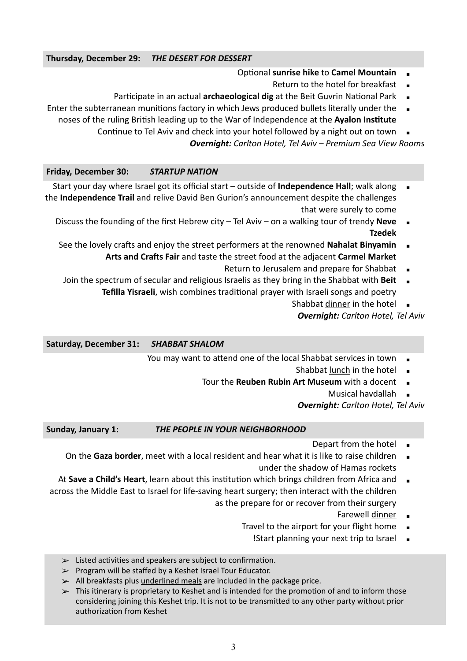#### **Thursday, December 29:** *THE DESERT FOR DESSERT*

- Optional **sunrise hike** to **Camel Mountain**
	- Return to the hotel for breakfast
- Participate in an actual **archaeological dig** at the Beit Guvrin National Park
- Enter the subterranean munitions factory in which Jews produced bullets literally under the noses of the ruling British leading up to the War of Independence at the **Ayalon Institute**
	- Continue to Tel Aviv and check into your hotel followed by a night out on town

*Overnight: Carlton Hotel, Tel Aviv – Premium Sea View Rooms*

**Friday, December 30:** *STARTUP NATION*

- Start your day where Israel got its official start outside of **Independence Hall**; walk along the **Independence Trail** and relive David Ben Gurion's announcement despite the challenges that were surely to come
	- Discuss the founding of the first Hebrew city Tel Aviv on a walking tour of trendy **Neve Tzedek**
	- See the lovely crafts and enjoy the street performers at the renowned Nahalat Binyamin **Arts and Crafts Fair** and taste the street food at the adjacent **Carmel Market**
		- Return to Jerusalem and prepare for Shabbat  $\quadblacksquare$
	- Join the spectrum of secular and religious Israelis as they bring in the Shabbat with Beit **Tefilla Yisraeli**, wish combines traditional prayer with Israeli songs and poetry
		- Shabbat dinner in the hotel

*Overnight: Carlton Hotel, Tel Aviv*

**Saturday, December 31:** *SHABBAT SHALOM*

- You may want to attend one of the local Shabbat services in town
	- Shabbat lunch in the hotel
	- Tour the **Reuben Rubin Art Museum** with a docent
		- Musical havdallah

*Overnight: Carlton Hotel, Tel Aviv*

**Sunday, January 1:** *THE PEOPLE IN YOUR NEIGHBORHOOD*

- Depart from the hotel  $\blacksquare$
- On the **Gaza border**, meet with a local resident and hear what it is like to raise children under the shadow of Hamas rockets
- At **Save a Child's Heart**, learn about this institution which brings children from Africa and across the Middle East to Israel for life-saving heart surgery; then interact with the children as the prepare for or recover from their surgery
	- Farewell dinner •
	- Travel to the airport for your flight home
		- !Start planning your next trip to Israel  $\Box$
	- $\geq$  Listed activities and speakers are subject to confirmation.
	- ➢ Program will be staffed by a Keshet Israel Tour Educator.
	- $\ge$  All breakfasts plus underlined meals are included in the package price.
	- $\triangleright$  This itinerary is proprietary to Keshet and is intended for the promotion of and to inform those considering joining this Keshet trip. It is not to be transmitted to any other party without prior authorization from Keshet